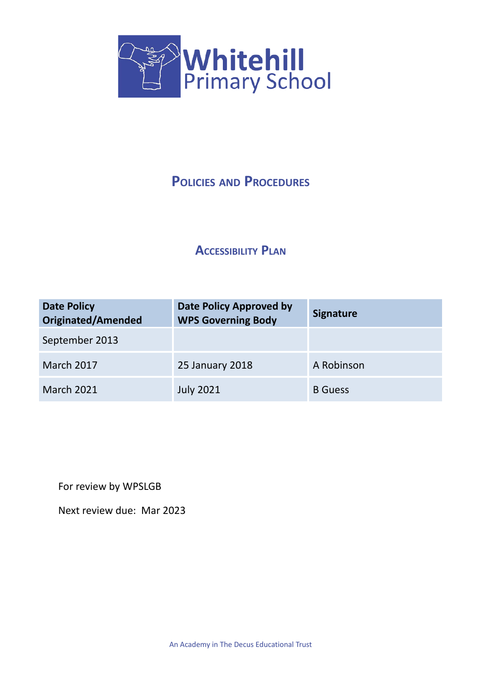

# **POLICIES AND PROCEDURES**

## **ACCESSIBILITY PLAN**

| <b>Date Policy</b><br><b>Originated/Amended</b> | <b>Date Policy Approved by</b><br><b>WPS Governing Body</b> | <b>Signature</b> |
|-------------------------------------------------|-------------------------------------------------------------|------------------|
| September 2013                                  |                                                             |                  |
| March 2017                                      | 25 January 2018                                             | A Robinson       |
| <b>March 2021</b>                               | <b>July 2021</b>                                            | <b>B</b> Guess   |

For review by WPSLGB

Next review due: Mar 2023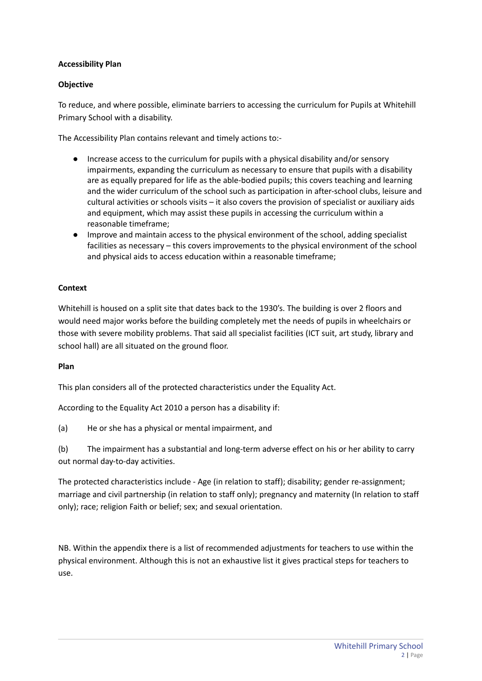## **Accessibility Plan**

## **Objective**

To reduce, and where possible, eliminate barriers to accessing the curriculum for Pupils at Whitehill Primary School with a disability.

The Accessibility Plan contains relevant and timely actions to:-

- Increase access to the curriculum for pupils with a physical disability and/or sensory impairments, expanding the curriculum as necessary to ensure that pupils with a disability are as equally prepared for life as the able-bodied pupils; this covers teaching and learning and the wider curriculum of the school such as participation in after-school clubs, leisure and cultural activities or schools visits – it also covers the provision of specialist or auxiliary aids and equipment, which may assist these pupils in accessing the curriculum within a reasonable timeframe;
- Improve and maintain access to the physical environment of the school, adding specialist facilities as necessary – this covers improvements to the physical environment of the school and physical aids to access education within a reasonable timeframe;

## **Context**

Whitehill is housed on a split site that dates back to the 1930's. The building is over 2 floors and would need major works before the building completely met the needs of pupils in wheelchairs or those with severe mobility problems. That said all specialist facilities (ICT suit, art study, library and school hall) are all situated on the ground floor.

#### **Plan**

This plan considers all of the protected characteristics under the Equality Act.

According to the Equality Act 2010 a person has a disability if:

(a) He or she has a physical or mental impairment, and

(b) The impairment has a substantial and long-term adverse effect on his or her ability to carry out normal day-to-day activities.

The protected characteristics include - Age (in relation to staff); disability; gender re-assignment; marriage and civil partnership (in relation to staff only); pregnancy and maternity (In relation to staff only); race; religion Faith or belief; sex; and sexual orientation.

NB. Within the appendix there is a list of recommended adjustments for teachers to use within the physical environment. Although this is not an exhaustive list it gives practical steps for teachers to use.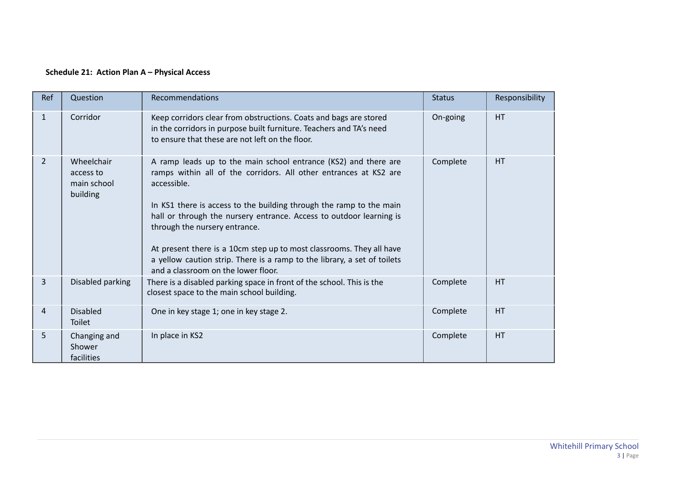## **Schedule 21: Action Plan A – Physical Access**

| Ref            | Question                                           | Recommendations                                                                                                                                                                                                                                                                                                                                                                                                                                                                                                               | <b>Status</b> | Responsibility |
|----------------|----------------------------------------------------|-------------------------------------------------------------------------------------------------------------------------------------------------------------------------------------------------------------------------------------------------------------------------------------------------------------------------------------------------------------------------------------------------------------------------------------------------------------------------------------------------------------------------------|---------------|----------------|
| $\mathbf{1}$   | Corridor                                           | Keep corridors clear from obstructions. Coats and bags are stored<br>in the corridors in purpose built furniture. Teachers and TA's need<br>to ensure that these are not left on the floor.                                                                                                                                                                                                                                                                                                                                   | On-going      | <b>HT</b>      |
| $\overline{2}$ | Wheelchair<br>access to<br>main school<br>building | A ramp leads up to the main school entrance (KS2) and there are<br>ramps within all of the corridors. All other entrances at KS2 are<br>accessible.<br>In KS1 there is access to the building through the ramp to the main<br>hall or through the nursery entrance. Access to outdoor learning is<br>through the nursery entrance.<br>At present there is a 10cm step up to most classrooms. They all have<br>a yellow caution strip. There is a ramp to the library, a set of toilets<br>and a classroom on the lower floor. | Complete      | HT             |
| $\overline{3}$ | Disabled parking                                   | There is a disabled parking space in front of the school. This is the<br>closest space to the main school building.                                                                                                                                                                                                                                                                                                                                                                                                           | Complete      | HT             |
| $\overline{4}$ | <b>Disabled</b><br>Toilet                          | One in key stage 1; one in key stage 2.                                                                                                                                                                                                                                                                                                                                                                                                                                                                                       | Complete      | HT             |
| 5              | Changing and<br>Shower<br>facilities               | In place in KS2                                                                                                                                                                                                                                                                                                                                                                                                                                                                                                               | Complete      | HT             |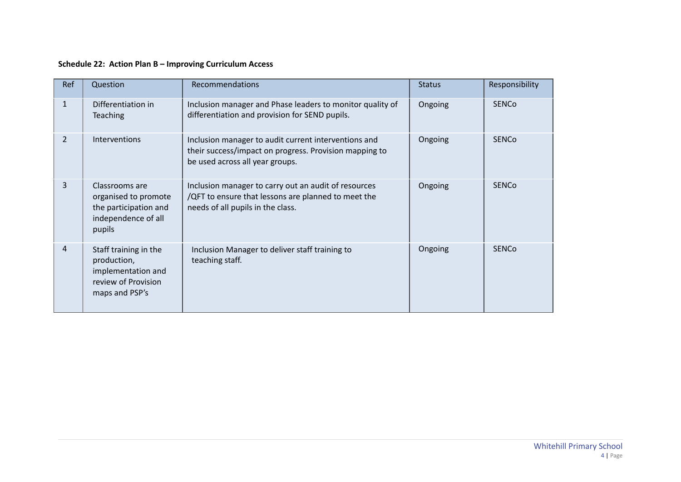## **Schedule 22: Action Plan B – Improving Curriculum Access**

| Ref            | Question                                                                                            | Recommendations                                                                                                                                   | <b>Status</b> | Responsibility |
|----------------|-----------------------------------------------------------------------------------------------------|---------------------------------------------------------------------------------------------------------------------------------------------------|---------------|----------------|
| $\mathbf{1}$   | Differentiation in<br>Teaching                                                                      | Inclusion manager and Phase leaders to monitor quality of<br>differentiation and provision for SEND pupils.                                       | Ongoing       | <b>SENCO</b>   |
| $\overline{2}$ | Interventions                                                                                       | Inclusion manager to audit current interventions and<br>their success/impact on progress. Provision mapping to<br>be used across all year groups. | Ongoing       | <b>SENCO</b>   |
| 3              | Classrooms are<br>organised to promote<br>the participation and<br>independence of all<br>pupils    | Inclusion manager to carry out an audit of resources<br>/QFT to ensure that lessons are planned to meet the<br>needs of all pupils in the class.  | Ongoing       | <b>SENCO</b>   |
| 4              | Staff training in the<br>production,<br>implementation and<br>review of Provision<br>maps and PSP's | Inclusion Manager to deliver staff training to<br>teaching staff.                                                                                 | Ongoing       | <b>SENCO</b>   |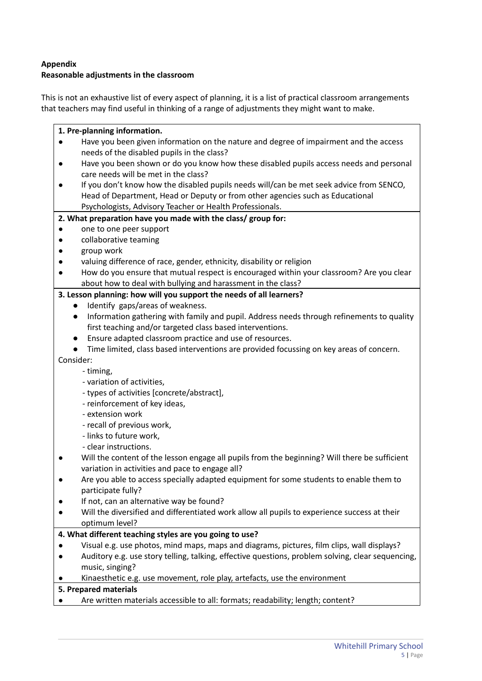## **Appendix**

## **Reasonable adjustments in the classroom**

This is not an exhaustive list of every aspect of planning, it is a list of practical classroom arrangements that teachers may find useful in thinking of a range of adjustments they might want to make.

| 1. Pre-planning information.                                                                      |  |  |  |
|---------------------------------------------------------------------------------------------------|--|--|--|
| Have you been given information on the nature and degree of impairment and the access             |  |  |  |
| needs of the disabled pupils in the class?                                                        |  |  |  |
| Have you been shown or do you know how these disabled pupils access needs and personal            |  |  |  |
| care needs will be met in the class?                                                              |  |  |  |
| If you don't know how the disabled pupils needs will/can be met seek advice from SENCO,           |  |  |  |
| Head of Department, Head or Deputy or from other agencies such as Educational                     |  |  |  |
| Psychologists, Advisory Teacher or Health Professionals.                                          |  |  |  |
| 2. What preparation have you made with the class/ group for:                                      |  |  |  |
| one to one peer support                                                                           |  |  |  |
| collaborative teaming                                                                             |  |  |  |
| group work                                                                                        |  |  |  |
| valuing difference of race, gender, ethnicity, disability or religion                             |  |  |  |
| How do you ensure that mutual respect is encouraged within your classroom? Are you clear          |  |  |  |
| about how to deal with bullying and harassment in the class?                                      |  |  |  |
| 3. Lesson planning: how will you support the needs of all learners?                               |  |  |  |
| Identify gaps/areas of weakness.                                                                  |  |  |  |
| Information gathering with family and pupil. Address needs through refinements to quality         |  |  |  |
| first teaching and/or targeted class based interventions.                                         |  |  |  |
| Ensure adapted classroom practice and use of resources.                                           |  |  |  |
| Time limited, class based interventions are provided focussing on key areas of concern.           |  |  |  |
| Consider:                                                                                         |  |  |  |
| - timing,                                                                                         |  |  |  |
| - variation of activities,                                                                        |  |  |  |
| - types of activities [concrete/abstract],                                                        |  |  |  |
| - reinforcement of key ideas,                                                                     |  |  |  |
| - extension work                                                                                  |  |  |  |
| - recall of previous work,                                                                        |  |  |  |
| - links to future work,                                                                           |  |  |  |
| - clear instructions.                                                                             |  |  |  |
| Will the content of the lesson engage all pupils from the beginning? Will there be sufficient     |  |  |  |
| variation in activities and pace to engage all?                                                   |  |  |  |
| Are you able to access specially adapted equipment for some students to enable them to            |  |  |  |
| participate fully?                                                                                |  |  |  |
| If not, can an alternative way be found?                                                          |  |  |  |
| Will the diversified and differentiated work allow all pupils to experience success at their      |  |  |  |
| optimum level?                                                                                    |  |  |  |
| 4. What different teaching styles are you going to use?                                           |  |  |  |
| Visual e.g. use photos, mind maps, maps and diagrams, pictures, film clips, wall displays?        |  |  |  |
| Auditory e.g. use story telling, talking, effective questions, problem solving, clear sequencing, |  |  |  |
| music, singing?                                                                                   |  |  |  |
| Kinaesthetic e.g. use movement, role play, artefacts, use the environment                         |  |  |  |
| 5. Prepared materials                                                                             |  |  |  |
| Are written materials accessible to all: formats; readability; length; content?                   |  |  |  |